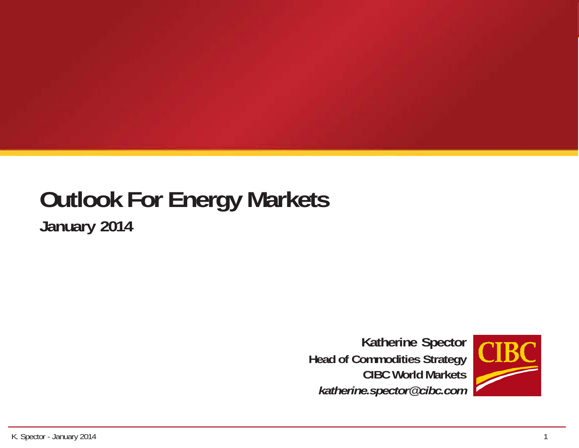#### **Outlook For Energy Markets January 2014**

**Katherine Spector Head of Commodities Strategy CIBC World Markets** *katherine.spector@cibc.com*

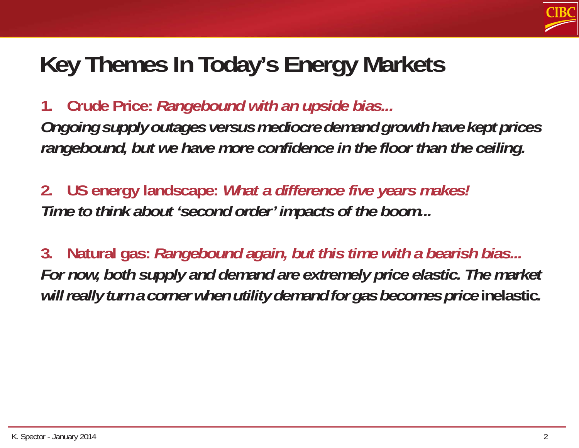

# **Key Themes In Today's Energy Markets**

**1. Crude Price:** *Rangebound with an upside bias... Ongoing supply outages versus mediocre demand growth have kept prices rangebound, but we have more confidence in the floor than the ceiling.*

**2. US energy landscape:** *What a difference five years makes! Time to think about 'second order' impacts of the boom...*

**3. Natural gas:** *Rangebound again, but this time with a bearish bias... For now, both supply and demand are extremely price elastic. The market will really turn a corner when utility demand for gas becomes price* **inelastic***.*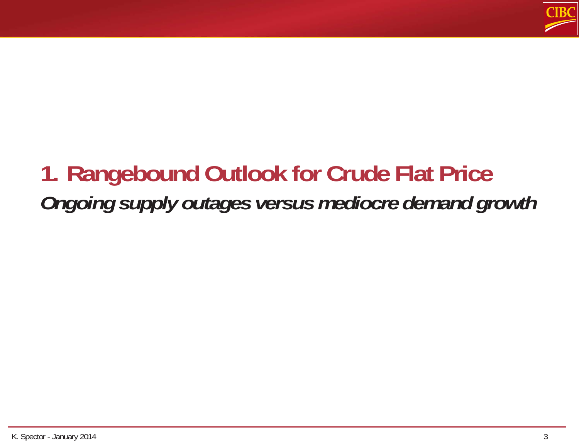

# **1. Rangebound Outlook for Crude Flat Price** *Ongoing supply outages versus mediocre demand growth*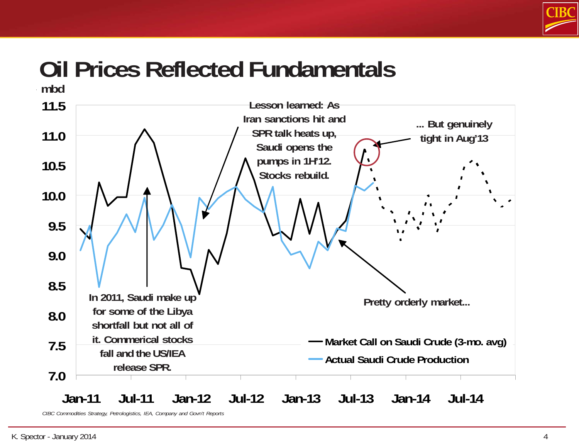

### **Oil Prices Reflected Fundamentals**



*CIBC Commodities Strategy, Petrologistics, IEA, Company and Govn't Reports*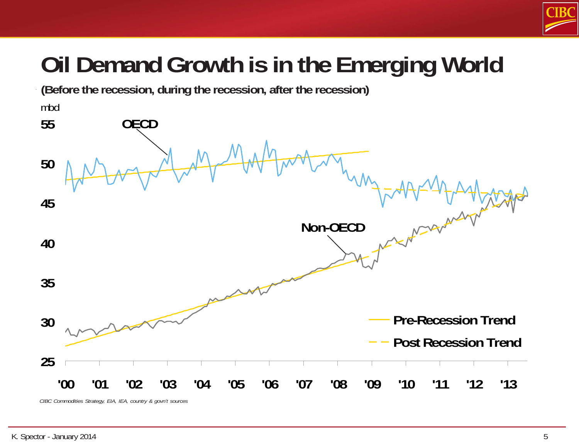

# **Oil Demand Growth is in the Emerging World**

**25 30 35 40 45 50 55** '00 '01 '02 '03 '04 '05 '06 '07 '08 '09 '10 '11 '12 '13 mbd **Pre-Recession Trend Post Recession Trend OECD Non-OECD (Before the recession, during the recession, after the recession)** *CIBC Commodities Strategy, EIA, IEA, country & govn't sources*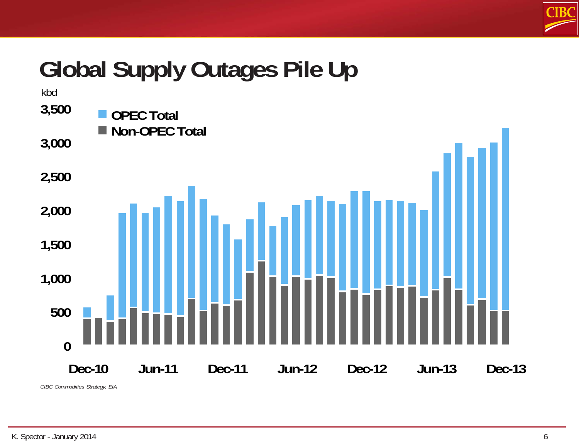

# **Global Supply Outages Pile Up**



*CIBC Commodities Strategy, EIA*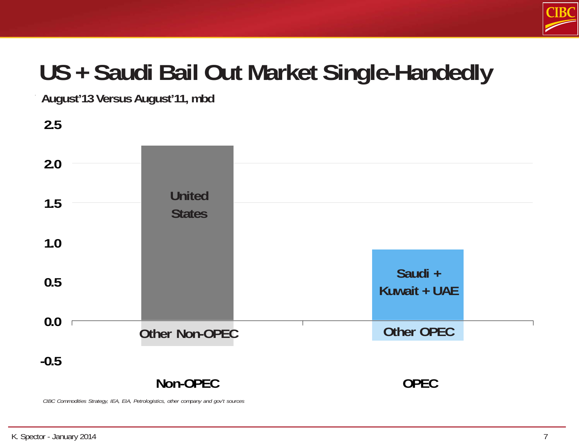

# **US + Saudi Bail Out Market Single-Handedly**

**August'13 Versus August'11, mbd**



*CIBC Commodities Strategy, IEA, EIA, Petrologistics, other company and gov't sources*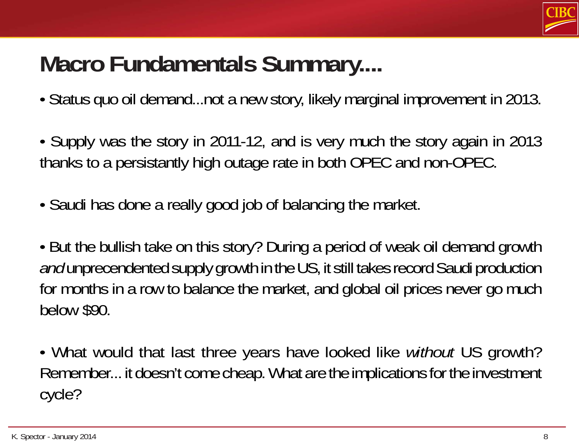

# **Macro Fundamentals Summary....**

- Status quo oil demand...not a new story, likely marginal improvement in 2013.
- Supply was the story in 2011-12, and is very much the story again in 2013 thanks to a persistantly high outage rate in both OPEC and non-OPEC.
- Saudi has done a really good job of balancing the market.
- But the bullish take on this story? During a period of weak oil demand growth *and* unprecendented supply growth in the US, it still takes record Saudi production for months in a row to balance the market, and global oil prices never go much below \$90.
- What would that last three years have looked like *without* US growth? Remember... it doesn't come cheap. What are the implications for the investment cycle?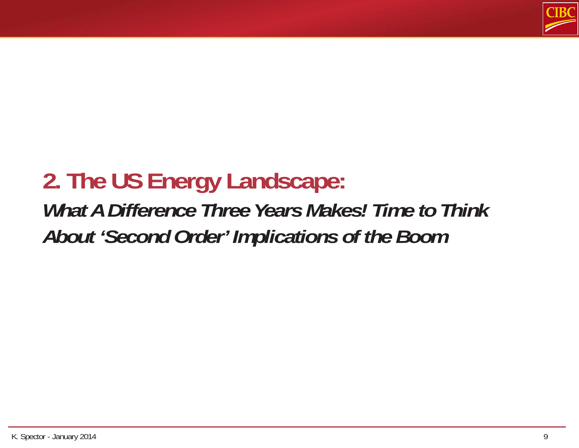

#### **2. The US Energy Landscape:** *What A Difference Three Years Makes! Time to Think About 'Second Order' Implications of the Boom*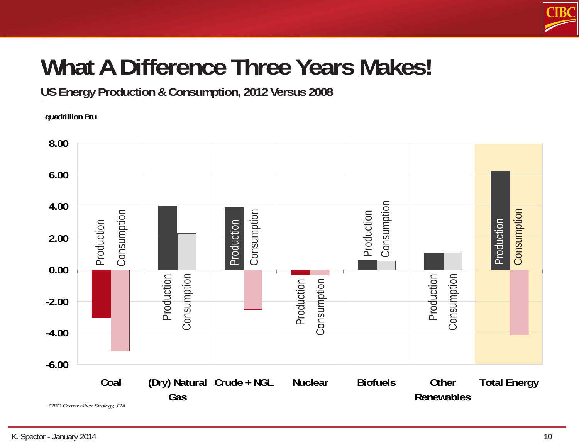

# **What A Difference Three Years Makes!**

**US Energy Production & Consumption, 2012 Versus 2008**

**quadrillion Btu**

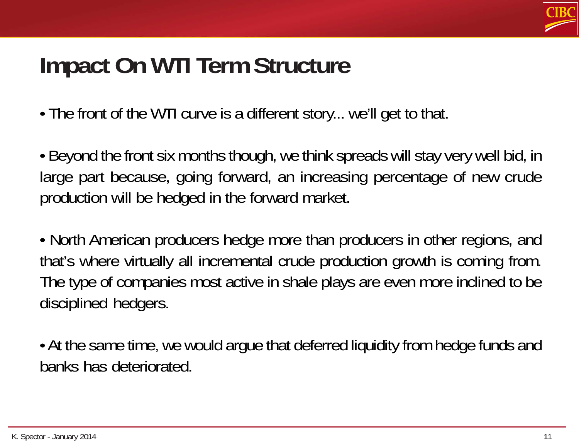

#### **Impact On WTI Term Structure**

• The front of the WTI curve is a different story... we'll get to that.

• Beyond the front six months though, we think spreads will stay very well bid, in large part because, going forward, an increasing percentage of new crude production will be hedged in the forward market.

• North American producers hedge more than producers in other regions, and that's where virtually all incremental crude production growth is coming from. The type of companies most active in shale plays are even more inclined to be disciplined hedgers.

• At the same time, we would argue that deferred liquidity from hedge funds and banks has deteriorated.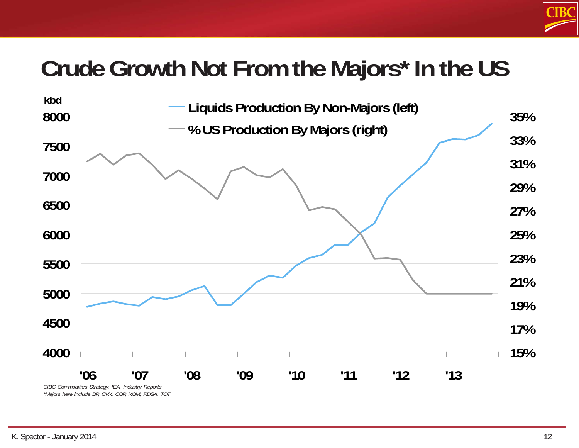

#### **Crude Growth Not From the Majors\* In the US**

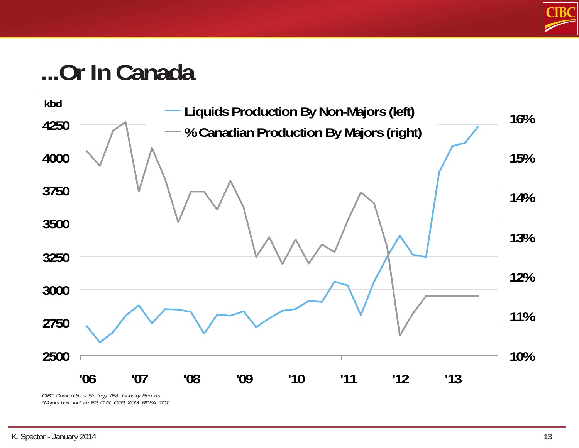

#### **...Or In Canada**



*CIBC Commodities Strategy, IEA, Industry Reports \*Majors here include BP, CVX, COP, XOM, RDSA, TOT*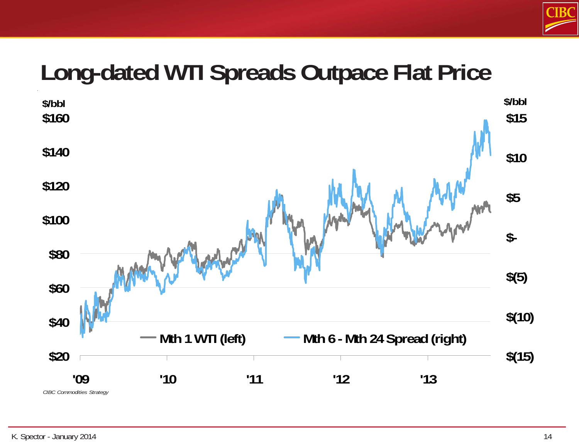

## **Long-dated WTI Spreads Outpace Flat Price**

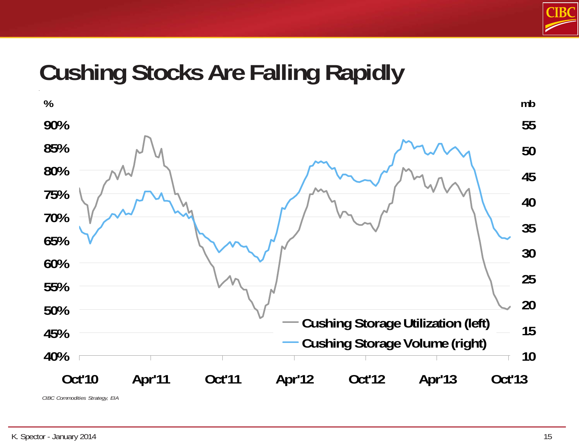

#### **Cushing Stocks Are Falling Rapidly**



*CIBC Commodities Strategy, EIA*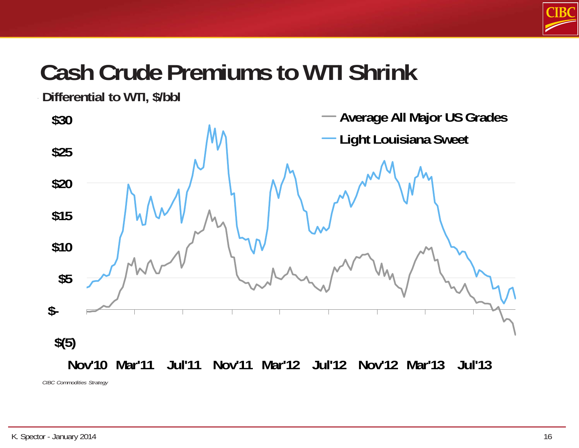

# **Cash Crude Premiums to WTI Shrink**

**Differential to WTI, \$/bbl**



*CIBC Commodities Strategy*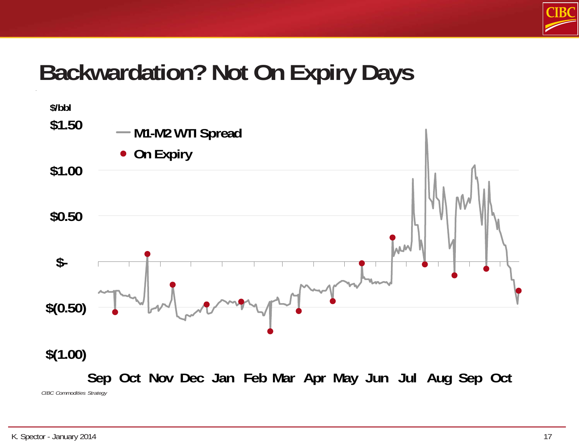

### **Backwardation? Not On Expiry Days**

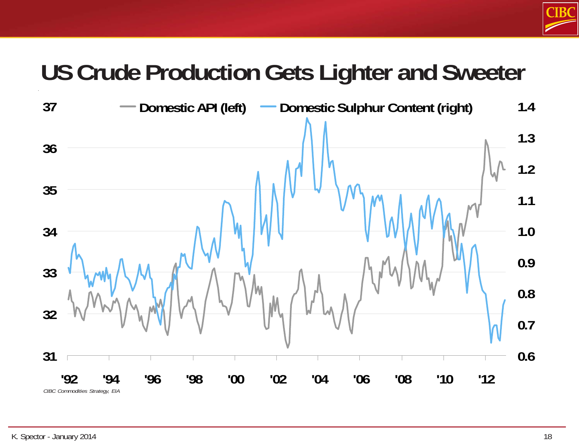

# **US Crude Production Gets Lighter and Sweeter**

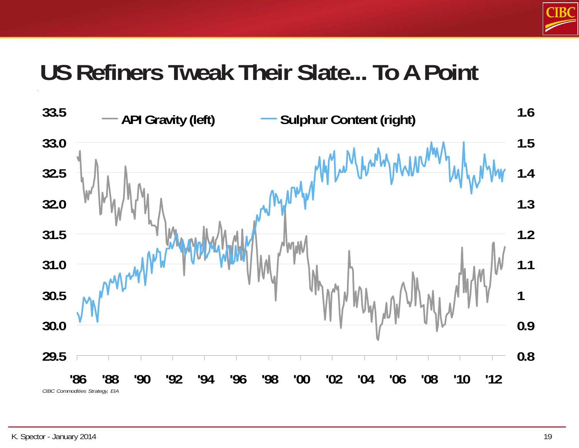

### **US Refiners Tweak Their Slate... To A Point**

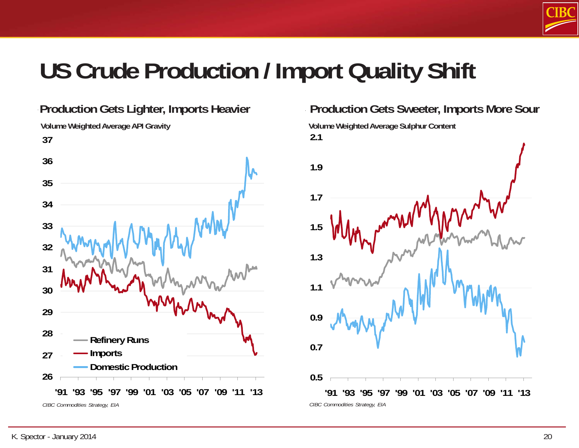

## **US Crude Production / Import Quality Shift**



**Volume Weighted Average API Gravity**



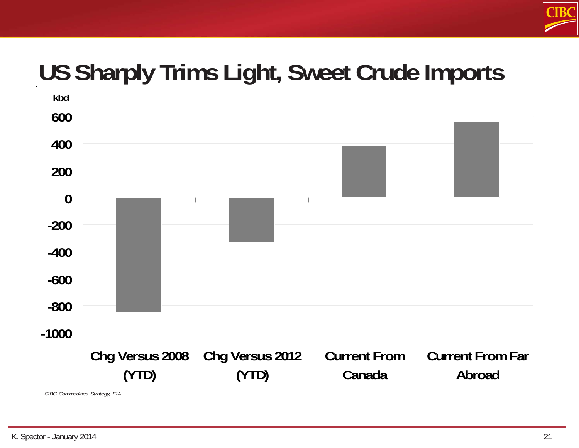

# **US Sharply Trims Light, Sweet Crude Imports**

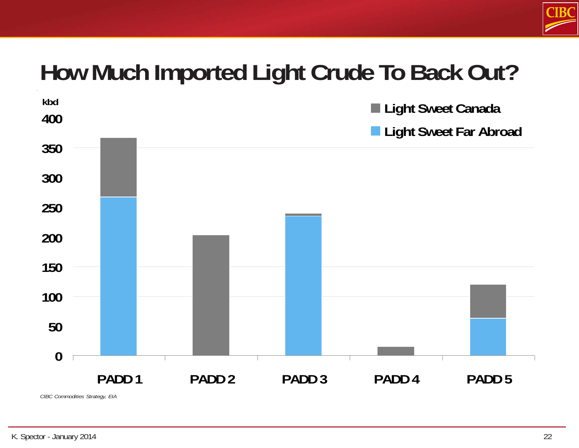

## **How Much Imported Light Crude To Back Out?**

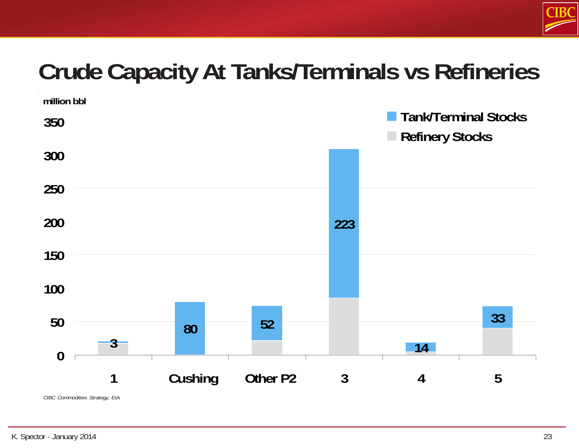

# **Crude Capacity At Tanks/Terminals vs Refineries**

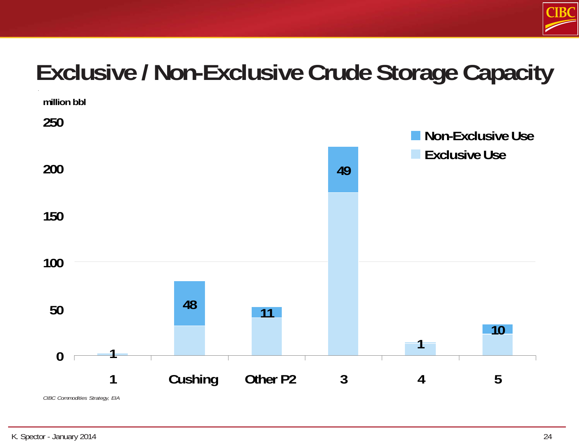

# **Exclusive / Non-Exclusive Crude Storage Capacity**

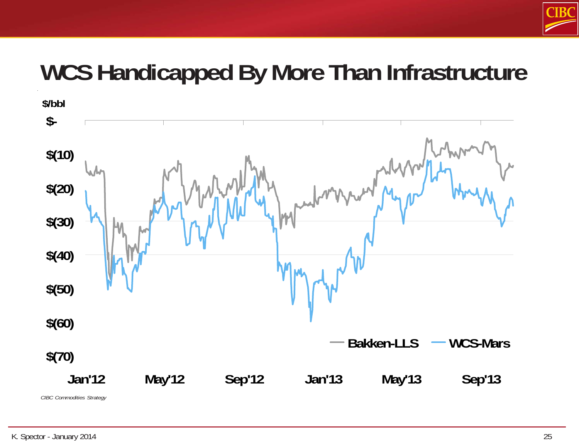

#### **WCS Handicapped By More Than Infrastructure**



*CIBC Commodities Strategy*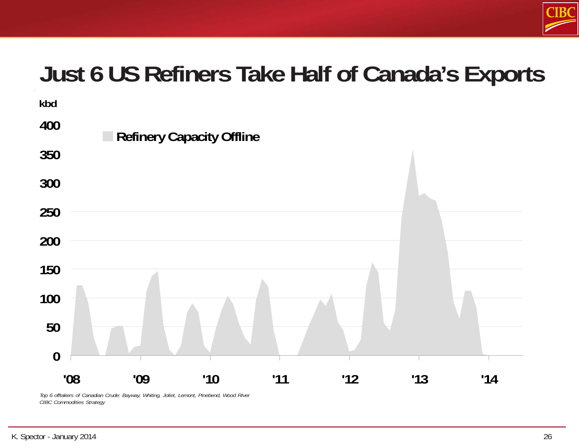

#### **Just 6 US Refiners Take Half of Canada's Exports**



*Top 6 offtakers of Canadian Crude: Bayway, Whiting, Joliet, Lemont, Pinebend, Wood RIver CIBC Commodities Strategy*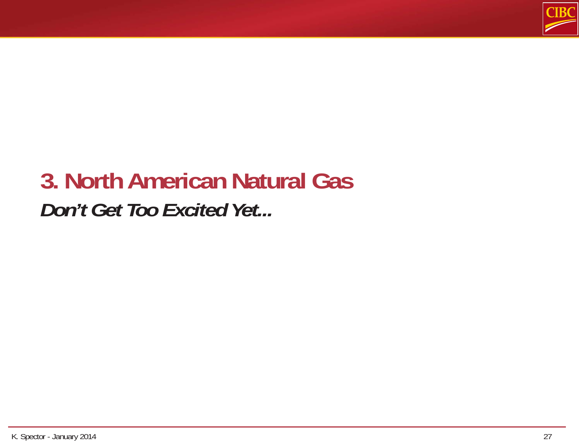

# **3. North American Natural Gas** *Don't Get Too Excited Yet...*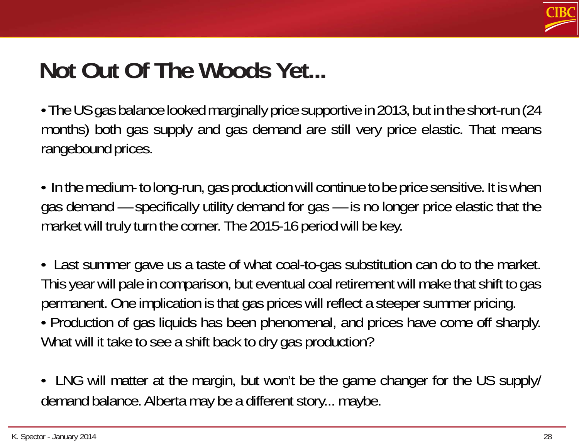

#### **Not Out Of The Woods Yet...**

- The US gas balance looked marginally price supportive in 2013, but in the short-run (24 months) both gas supply and gas demand are still very price elastic. That means rangebound prices.
- In the medium- to long-run, gas production will continue to be price sensitive. It is when gas demand — specifically utility demand for gas — is no longer price elastic that the market will truly turn the corner. The 2015-16 period will be key.
- Last summer gave us a taste of what coal-to-gas substitution can do to the market. This year will pale in comparison, but eventual coal retirement will make that shift to gas permanent. One implication is that gas prices will reflect a steeper summer pricing.
- Production of gas liquids has been phenomenal, and prices have come off sharply. What will it take to see a shift back to dry gas production?
- LNG will matter at the margin, but won't be the game changer for the US supply/ demand balance. Alberta may be a different story... maybe.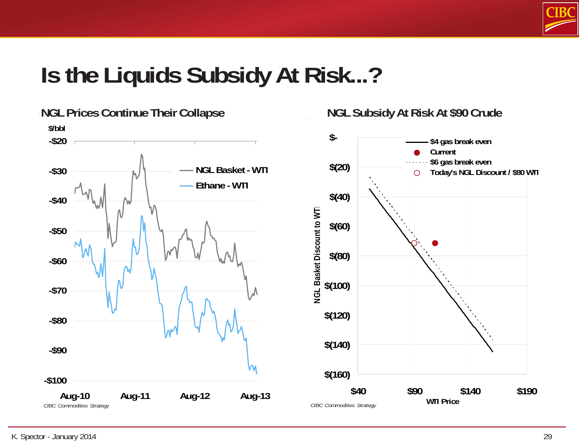

#### **Is the Liquids Subsidy At Risk...?**

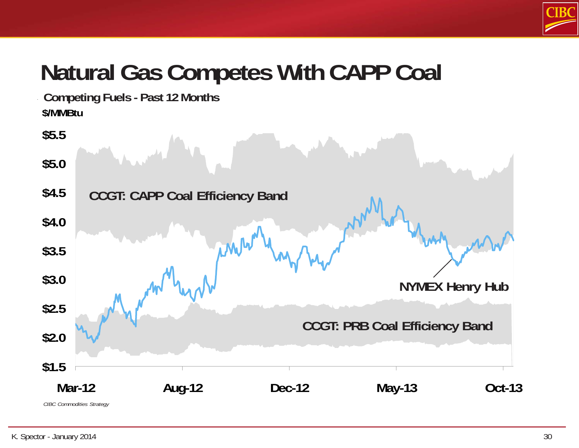

# **Natural Gas Competes With CAPP Coal**

**\$/MMBtu Competing Fuels - Past 12 Months**

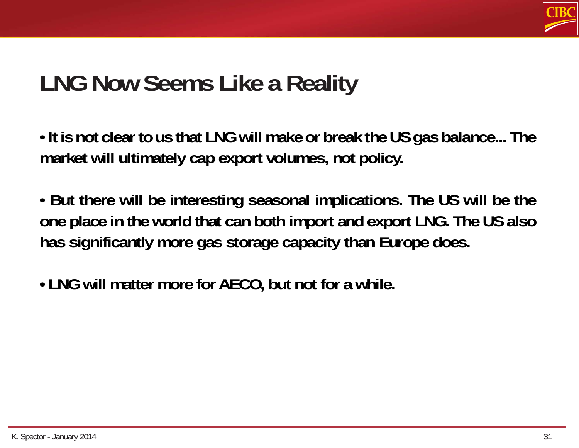

### **LNG Now Seems Like a Reality**

**• It is not clear to us that LNG will make or break the US gas balance... The market will ultimately cap export volumes, not policy.**

**• But there will be interesting seasonal implications. The US will be the one place in the world that can both import and export LNG. The US also has significantly more gas storage capacity than Europe does.**

**• LNG will matter more for AECO, but not for a while.**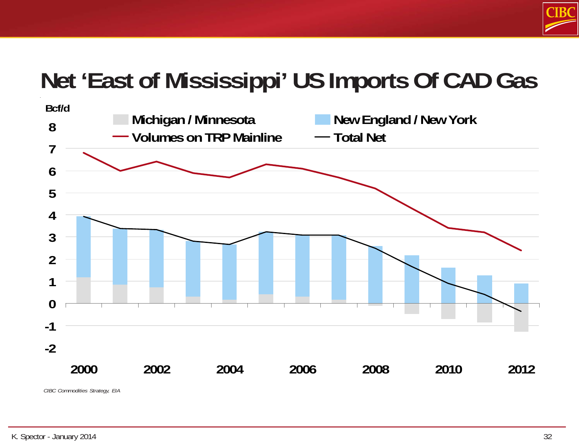

# **Net 'East of Mississippi' US Imports Of CAD Gas**

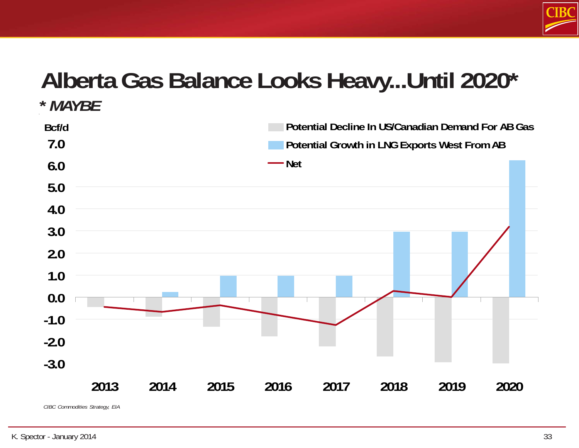

#### **Alberta Gas Balance Looks Heavy...Until 2020\* \*** *MAYBE*